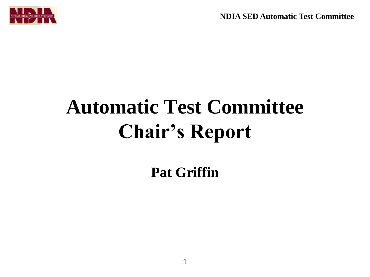**NDIA SED Automatic Test Committee**



## **Automatic Test Committee Chair's Report**

**Pat Griffin**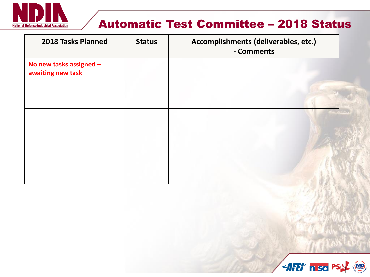

## Automatic Test Committee – 2018 Status

| 2018 Tasks Planned                           | <b>Status</b> | Accomplishments (deliverables, etc.)<br>- Comments |
|----------------------------------------------|---------------|----------------------------------------------------|
| No new tasks assigned -<br>awaiting new task |               |                                                    |
|                                              |               |                                                    |
|                                              |               |                                                    |
|                                              |               |                                                    |
|                                              |               |                                                    |

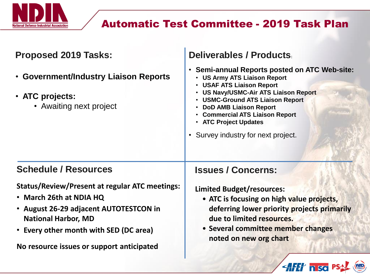

## Automatic Test Committee - 2019 Task Plan

| <b>Proposed 2019 Tasks:</b>                                                                                                                                                                                                                     | Deliverables / Products                                                                                                                                                                                                                                                                                                                                                |
|-------------------------------------------------------------------------------------------------------------------------------------------------------------------------------------------------------------------------------------------------|------------------------------------------------------------------------------------------------------------------------------------------------------------------------------------------------------------------------------------------------------------------------------------------------------------------------------------------------------------------------|
| • Government/Industry Liaison Reports<br>• ATC projects:<br>• Awaiting next project                                                                                                                                                             | <b>Semi-annual Reports posted on ATC Web-site:</b><br>$\bullet$<br><b>US Army ATS Liaison Report</b><br><b>USAF ATS Liaison Report</b><br><b>US Navy/USMC-Air ATS Liaison Report</b><br><b>USMC-Ground ATS Liaison Report</b><br><b>DoD AMB Liaison Report</b><br><b>Commercial ATS Liaison Report</b><br>• ATC Project Updates<br>• Survey industry for next project. |
| <b>Schedule / Resources</b>                                                                                                                                                                                                                     | <b>Issues / Concerns:</b>                                                                                                                                                                                                                                                                                                                                              |
| <b>Status/Review/Present at regular ATC meetings:</b><br>• March 26th at NDIA HQ<br>• August 26-29 adjacent AUTOTESTCON in<br><b>National Harbor, MD</b><br>• Every other month with SED (DC area)<br>No resource issues or support anticipated | <b>Limited Budget/resources:</b><br>• ATC is focusing on high value projects,<br>deferring lower priority projects primarily<br>due to limited resources.<br>• Several committee member changes<br>noted on new org chart                                                                                                                                              |
|                                                                                                                                                                                                                                                 | AFET hiso P.                                                                                                                                                                                                                                                                                                                                                           |